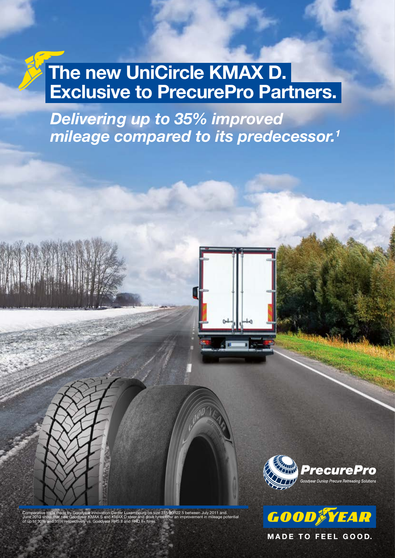## The new UniCircle KMAX D. Exclusive to PrecurePro Partners.

Delivering up to 35% improved mileage compared to its predecessor.<sup>1</sup>







**MADE TO FEEL GOOD.**